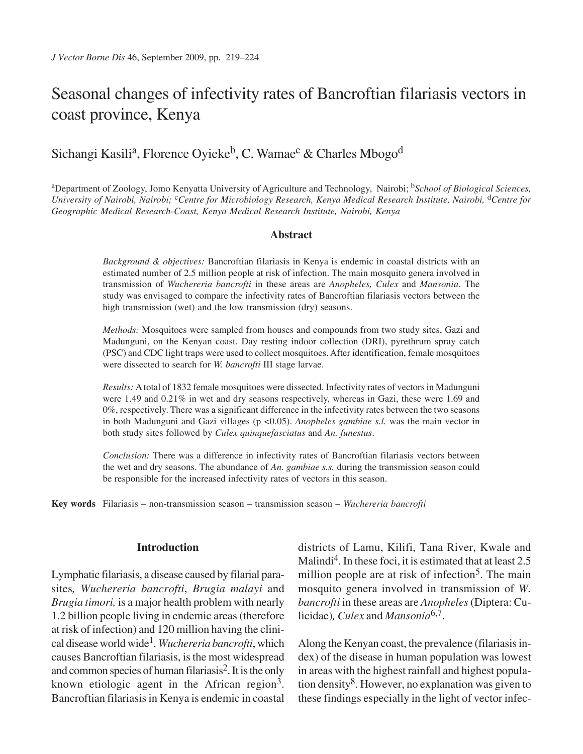# Seasonal changes of infectivity rates of Bancroftian filariasis vectors in coast province, Kenya

## Sichangi Kasili<sup>a</sup>, Florence Oyieke<sup>b</sup>, C. Wamae<sup>c</sup> & Charles Mbogo<sup>d</sup>

aDepartment of Zoology, Jomo Kenyatta University of Agriculture and Technology, Nairobi; b*School of Biological Sciences, University of Nairobi, Nairobi;* c*Centre for Microbiology Research, Kenya Medical Research Institute, Nairobi,* d*Centre for Geographic Medical Research-Coast, Kenya Medical Research Institute, Nairobi, Kenya*

#### **Abstract**

*Background & objectives:* Bancroftian filariasis in Kenya is endemic in coastal districts with an estimated number of 2.5 million people at risk of infection. The main mosquito genera involved in transmission of *Wuchereria bancrofti* in these areas are *Anopheles, Culex* and *Mansonia*. The study was envisaged to compare the infectivity rates of Bancroftian filariasis vectors between the high transmission (wet) and the low transmission (dry) seasons.

*Methods:* Mosquitoes were sampled from houses and compounds from two study sites, Gazi and Madunguni, on the Kenyan coast. Day resting indoor collection (DRI), pyrethrum spray catch (PSC) and CDC light traps were used to collect mosquitoes. After identification, female mosquitoes were dissected to search for *W. bancrofti* III stage larvae.

*Results:* A total of 1832 female mosquitoes were dissected. Infectivity rates of vectors in Madunguni were 1.49 and 0.21% in wet and dry seasons respectively, whereas in Gazi, these were 1.69 and 0%, respectively. There was a significant difference in the infectivity rates between the two seasons in both Madunguni and Gazi villages (p <0.05). *Anopheles gambiae s.l.* was the main vector in both study sites followed by *Culex quinquefasciatus* and *An. funestus*.

*Conclusion:* There was a difference in infectivity rates of Bancroftian filariasis vectors between the wet and dry seasons. The abundance of *An. gambiae s.s.* during the transmission season could be responsible for the increased infectivity rates of vectors in this season.

**Key words** Filariasis – non-transmission season – transmission season – *Wuchereria bancrofti*

#### **Introduction**

Lymphatic filariasis, a disease caused by filarial parasites*, Wuchereria bancrofti*, *Brugia malayi* and *Brugia timori,* is a major health problem with nearly 1.2 billion people living in endemic areas (therefore at risk of infection) and 120 million having the clinical disease world wide1. *Wuchereria bancrofti*, which causes Bancroftian filariasis, is the most widespread and common species of human filariasis<sup>2</sup>. It is the only known etiologic agent in the African region<sup>3</sup>. Bancroftian filariasis in Kenya is endemic in coastal districts of Lamu, Kilifi, Tana River, Kwale and Malindi<sup>4</sup>. In these foci, it is estimated that at least  $2.5$ million people are at risk of infection<sup>5</sup>. The main mosquito genera involved in transmission of *W. bancrofti* in these areas are *Anopheles* (Diptera: Culicidae)*, Culex* and *Mansonia*6,7.

Along the Kenyan coast, the prevalence (filariasis index) of the disease in human population was lowest in areas with the highest rainfall and highest population density8. However, no explanation was given to these findings especially in the light of vector infec-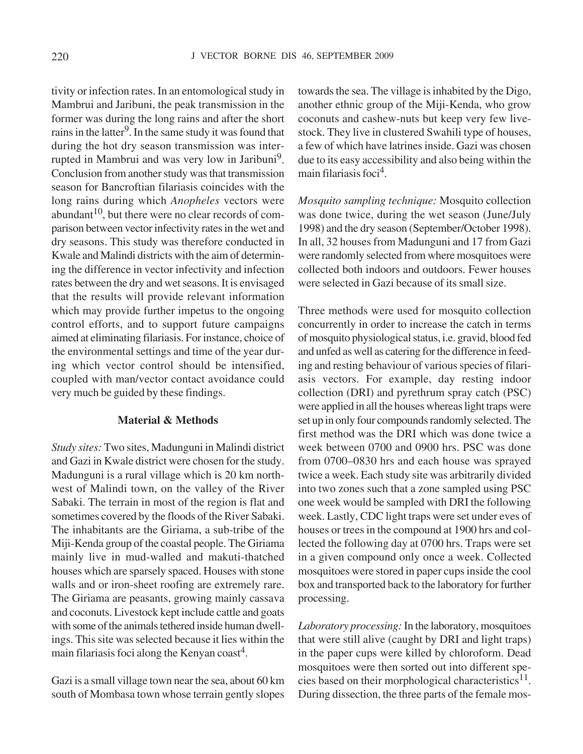tivity or infection rates. In an entomological study in Mambrui and Jaribuni, the peak transmission in the former was during the long rains and after the short rains in the latter<sup>9</sup>. In the same study it was found that during the hot dry season transmission was interrupted in Mambrui and was very low in Jaribuni<sup>9</sup>. Conclusion from another study was that transmission season for Bancroftian filariasis coincides with the long rains during which *Anopheles* vectors were  $abundant<sup>10</sup>$ , but there were no clear records of comparison between vector infectivity rates in the wet and dry seasons. This study was therefore conducted in Kwale and Malindi districts with the aim of determining the difference in vector infectivity and infection rates between the dry and wet seasons. It is envisaged that the results will provide relevant information which may provide further impetus to the ongoing control efforts, and to support future campaigns aimed at eliminating filariasis. For instance, choice of the environmental settings and time of the year during which vector control should be intensified, coupled with man/vector contact avoidance could very much be guided by these findings.

#### **Material & Methods**

*Study sites:* Two sites, Madunguni in Malindi district and Gazi in Kwale district were chosen for the study. Madunguni is a rural village which is 20 km northwest of Malindi town, on the valley of the River Sabaki. The terrain in most of the region is flat and sometimes covered by the floods of the River Sabaki. The inhabitants are the Giriama, a sub-tribe of the Miji-Kenda group of the coastal people. The Giriama mainly live in mud-walled and makuti-thatched houses which are sparsely spaced. Houses with stone walls and or iron-sheet roofing are extremely rare. The Giriama are peasants, growing mainly cassava and coconuts. Livestock kept include cattle and goats with some of the animals tethered inside human dwellings. This site was selected because it lies within the main filariasis foci along the Kenyan coast<sup>4</sup>.

Gazi is a small village town near the sea, about 60 km south of Mombasa town whose terrain gently slopes towards the sea. The village is inhabited by the Digo, another ethnic group of the Miji-Kenda, who grow coconuts and cashew-nuts but keep very few livestock. They live in clustered Swahili type of houses, a few of which have latrines inside. Gazi was chosen due to its easy accessibility and also being within the main filariasis foci $<sup>4</sup>$ .</sup>

*Mosquito sampling technique:* Mosquito collection was done twice, during the wet season (June/July 1998) and the dry season (September/October 1998). In all, 32 houses from Madunguni and 17 from Gazi were randomly selected from where mosquitoes were collected both indoors and outdoors. Fewer houses were selected in Gazi because of its small size.

Three methods were used for mosquito collection concurrently in order to increase the catch in terms of mosquito physiological status, i.e. gravid, blood fed and unfed as well as catering for the difference in feeding and resting behaviour of various species of filariasis vectors. For example, day resting indoor collection (DRI) and pyrethrum spray catch (PSC) were applied in all the houses whereas light traps were set up in only four compounds randomly selected. The first method was the DRI which was done twice a week between 0700 and 0900 hrs. PSC was done from 0700–0830 hrs and each house was sprayed twice a week. Each study site was arbitrarily divided into two zones such that a zone sampled using PSC one week would be sampled with DRI the following week. Lastly, CDC light traps were set under eves of houses or trees in the compound at 1900 hrs and collected the following day at 0700 hrs. Traps were set in a given compound only once a week. Collected mosquitoes were stored in paper cups inside the cool box and transported back to the laboratory for further processing.

*Laboratory processing:* In the laboratory, mosquitoes that were still alive (caught by DRI and light traps) in the paper cups were killed by chloroform. Dead mosquitoes were then sorted out into different species based on their morphological characteristics<sup>11</sup>. During dissection, the three parts of the female mos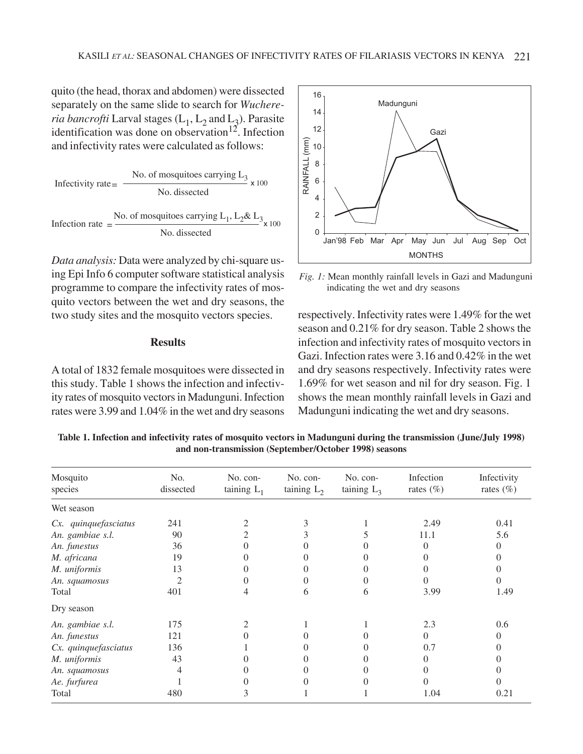quito (the head, thorax and abdomen) were dissected separately on the same slide to search for *Wuchereria bancrofti* Larval stages  $(L_1, L_2)$  and  $L_3$ ). Parasite identification was done on observation<sup>12</sup>. Infection and infectivity rates were calculated as follows:

Infectivity rate = 
$$
\frac{\text{No. of mosquities carrying L}_3}{\text{No. dissected}} \times 100
$$
  
Inflection rate = 
$$
\frac{\text{No. of mosquities carrying L}_1, L_2 \& L_3}{\text{No. dissected}} \times 100
$$

*Data analysis:* Data were analyzed by chi-square using Epi Info 6 computer software statistical analysis programme to compare the infectivity rates of mosquito vectors between the wet and dry seasons, the two study sites and the mosquito vectors species.

#### **Results**

A total of 1832 female mosquitoes were dissected in this study. Table 1 shows the infection and infectivity rates of mosquito vectors in Madunguni. Infection rates were 3.99 and 1.04% in the wet and dry seasons



*Fig. 1:* Mean monthly rainfall levels in Gazi and Madunguni indicating the wet and dry seasons

respectively. Infectivity rates were 1.49% for the wet season and 0.21% for dry season. Table 2 shows the infection and infectivity rates of mosquito vectors in Gazi. Infection rates were 3.16 and 0.42% in the wet and dry seasons respectively. Infectivity rates were 1.69% for wet season and nil for dry season. Fig. 1 shows the mean monthly rainfall levels in Gazi and Madunguni indicating the wet and dry seasons.

**Table 1. Infection and infectivity rates of mosquito vectors in Madunguni during the transmission (June/July 1998) and non-transmission (September/October 1998) seasons**

| Mosquito<br>species  | No.<br>dissected | No. con-<br>taining $L_1$ | No. con-<br>taining $L_2$ | No. con-<br>taining $L_3$ | Infection<br>rates $(\%)$ | Infectivity<br>rates $(\% )$ |
|----------------------|------------------|---------------------------|---------------------------|---------------------------|---------------------------|------------------------------|
| Wet season           |                  |                           |                           |                           |                           |                              |
| Cx. quinquefasciatus | 241              |                           |                           |                           | 2.49                      | 0.41                         |
| An. gambiae s.l.     | 90               |                           |                           |                           | 11.1                      | 5.6                          |
| An. funestus         | 36               |                           |                           |                           | 0                         | $^{(1)}$                     |
| M. africana          | 19               |                           |                           |                           |                           |                              |
| M. uniformis         | 13               |                           |                           |                           |                           |                              |
| An. squamosus        | $\mathfrak{D}$   |                           |                           |                           |                           |                              |
| Total                | 401              |                           |                           | h                         | 3.99                      | 1.49                         |
| Dry season           |                  |                           |                           |                           |                           |                              |
| An. gambiae s.l.     | 175              |                           |                           |                           | 2.3                       | 0.6                          |
| An. funestus         | 121              |                           |                           |                           | 0                         | $\mathbf{\Omega}$            |
| Cx. quinquefasciatus | 136              |                           |                           |                           | 0.7                       |                              |
| M. uniformis         | 43               |                           |                           |                           |                           |                              |
| An. squamosus        |                  |                           |                           |                           |                           |                              |
| Ae. furfurea         |                  |                           |                           |                           |                           |                              |
| Total                | 480              | 3                         |                           |                           | 1.04                      | 0.21                         |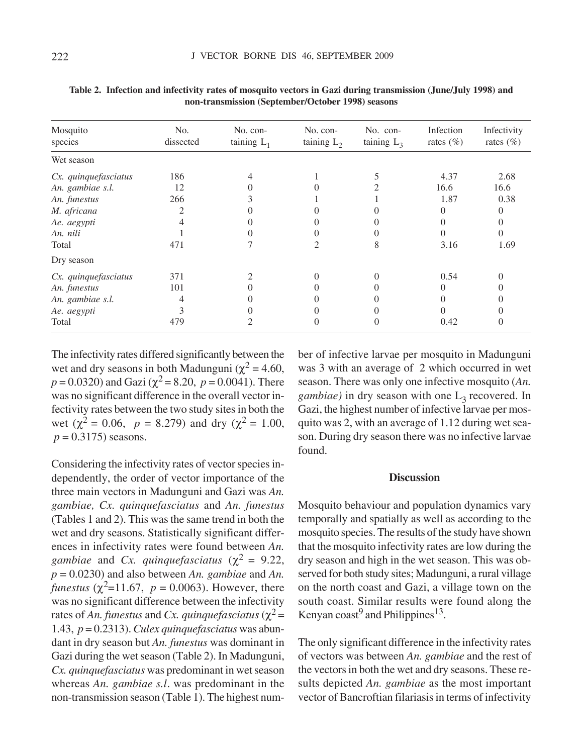| Mosquito<br>species  | No.<br>dissected | No. con-<br>taining $L_1$ | No. con-<br>taining $L_2$ | No. con-<br>taining $L_3$ | Infection<br>rates $(\% )$ | Infectivity<br>rates $(\% )$ |
|----------------------|------------------|---------------------------|---------------------------|---------------------------|----------------------------|------------------------------|
| Wet season           |                  |                           |                           |                           |                            |                              |
| Cx. quinquefasciatus | 186              |                           |                           |                           | 4.37                       | 2.68                         |
| An. gambiae s.l.     | 12               |                           |                           |                           | 16.6                       | 16.6                         |
| An. funestus         | 266              |                           |                           |                           | 1.87                       | 0.38                         |
| M. africana          | 2                |                           |                           |                           | 0                          | 0                            |
| Ae. aegypti          | 4                |                           |                           |                           | 0                          | $\Omega$                     |
| An. nili             |                  |                           |                           |                           | $\Omega$                   | $\Omega$                     |
| Total                | 471              |                           | $\mathfrak{D}$            | 8                         | 3.16                       | 1.69                         |
| Dry season           |                  |                           |                           |                           |                            |                              |
| Cx. quinquefasciatus | 371              | 2                         | 0                         | $\Omega$                  | 0.54                       | 0                            |
| An. funestus         | 101              |                           |                           |                           | 0                          |                              |
| An. gambiae s.l.     | 4                |                           |                           |                           | 0                          |                              |
| Ae. aegypti          | 3                |                           |                           |                           | 0                          |                              |
| Total                | 479              |                           | $\Omega$                  |                           | 0.42                       | $\theta$                     |

**Table 2. Infection and infectivity rates of mosquito vectors in Gazi during transmission (June/July 1998) and non-transmission (September/October 1998) seasons**

The infectivity rates differed significantly between the wet and dry seasons in both Madunguni ( $\chi^2$  = 4.60,  $p = 0.0320$ ) and Gazi ( $\chi^2 = 8.20$ ,  $p = 0.0041$ ). There was no significant difference in the overall vector infectivity rates between the two study sites in both the wet ( $\chi^2 = 0.06$ ,  $p = 8.279$ ) and dry ( $\chi^2 = 1.00$ ,  $p = 0.3175$ ) seasons.

Considering the infectivity rates of vector species independently, the order of vector importance of the three main vectors in Madunguni and Gazi was *An. gambiae, Cx. quinquefasciatus* and *An. funestus* (Tables 1 and 2). This was the same trend in both the wet and dry seasons. Statistically significant differences in infectivity rates were found between *An. gambiae* and *Cx. quinquefasciatus* ( $\chi^2$  = 9.22, *p* = 0.0230) and also between *An. gambiae* and *An. funestus* ( $\chi^2$ =11.67, *p* = 0.0063). However, there was no significant difference between the infectivity rates of An. funestus and *Cx. quinquefasciatus* ( $\chi^2$  = 1.43, *p* = 0.2313). *Culex quinquefasciatus* was abundant in dry season but *An. funestus* was dominant in Gazi during the wet season (Table 2). In Madunguni, *Cx. quinquefasciatus* was predominant in wet season whereas *An. gambiae s.l*. was predominant in the non-transmission season (Table 1). The highest number of infective larvae per mosquito in Madunguni was 3 with an average of 2 which occurred in wet season. There was only one infective mosquito (*An. gambiae*) in dry season with one  $L<sub>3</sub>$  recovered. In Gazi, the highest number of infective larvae per mosquito was 2, with an average of 1.12 during wet season. During dry season there was no infective larvae found.

#### **Discussion**

Mosquito behaviour and population dynamics vary temporally and spatially as well as according to the mosquito species. The results of the study have shown that the mosquito infectivity rates are low during the dry season and high in the wet season. This was observed for both study sites; Madunguni, a rural village on the north coast and Gazi, a village town on the south coast. Similar results were found along the Kenyan coast<sup>9</sup> and Philippines<sup>13</sup>.

The only significant difference in the infectivity rates of vectors was between *An. gambiae* and the rest of the vectors in both the wet and dry seasons. These results depicted *An. gambiae* as the most important vector of Bancroftian filariasis in terms of infectivity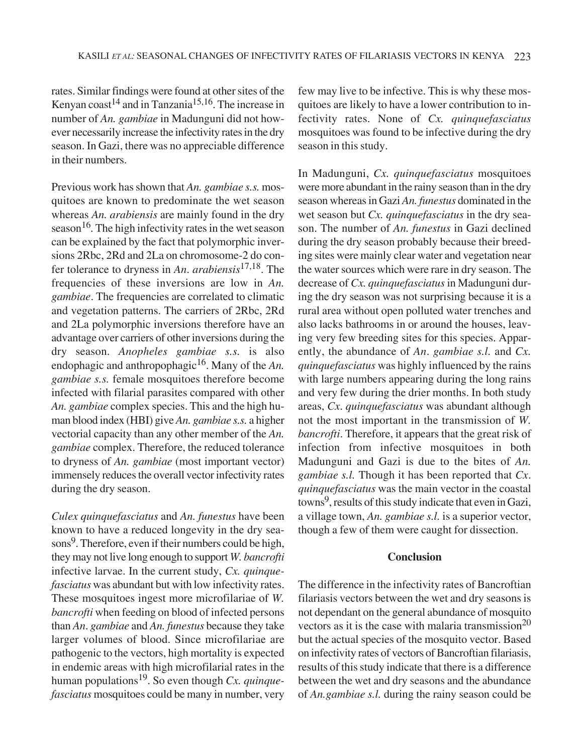rates. Similar findings were found at other sites of the Kenyan coast<sup>14</sup> and in Tanzania<sup>15,16</sup>. The increase in number of *An. gambiae* in Madunguni did not however necessarily increase the infectivity rates in the dry season. In Gazi, there was no appreciable difference in their numbers.

Previous work has shown that *An. gambiae s.s.* mosquitoes are known to predominate the wet season whereas *An. arabiensis* are mainly found in the dry season<sup>16</sup>. The high infectivity rates in the wet season can be explained by the fact that polymorphic inversions 2Rbc, 2Rd and 2La on chromosome-2 do confer tolerance to dryness in *An*. *arabiensis*17,18. The frequencies of these inversions are low in *An. gambiae*. The frequencies are correlated to climatic and vegetation patterns. The carriers of 2Rbc, 2Rd and 2La polymorphic inversions therefore have an advantage over carriers of other inversions during the dry season. *Anopheles gambiae s.s.* is also endophagic and anthropophagic<sup>16</sup>. Many of the *An*. *gambiae s.s.* female mosquitoes therefore become infected with filarial parasites compared with other *An. gambiae* complex species. This and the high human blood index (HBI) give *An. gambiae s.s.* a higher vectorial capacity than any other member of the *An. gambiae* complex. Therefore, the reduced tolerance to dryness of *An. gambiae* (most important vector) immensely reduces the overall vector infectivity rates during the dry season.

*Culex quinquefasciatus* and *An. funestus* have been known to have a reduced longevity in the dry seasons<sup>9</sup>. Therefore, even if their numbers could be high, they may not live long enough to support *W. bancrofti* infective larvae. In the current study, *Cx. quinquefasciatus* was abundant but with low infectivity rates. These mosquitoes ingest more microfilariae of *W. bancrofti* when feeding on blood of infected persons than *An*. *gambiae* and *An. funestus* because they take larger volumes of blood. Since microfilariae are pathogenic to the vectors, high mortality is expected in endemic areas with high microfilarial rates in the human populations19. So even though *Cx. quinquefasciatus* mosquitoes could be many in number, very few may live to be infective. This is why these mosquitoes are likely to have a lower contribution to infectivity rates. None of *Cx. quinquefasciatus* mosquitoes was found to be infective during the dry season in this study.

In Madunguni, *Cx. quinquefasciatus* mosquitoes were more abundant in the rainy season than in the dry season whereas in Gazi *An. funestus* dominated in the wet season but *Cx. quinquefasciatus* in the dry season. The number of *An. funestus* in Gazi declined during the dry season probably because their breeding sites were mainly clear water and vegetation near the water sources which were rare in dry season. The decrease of *Cx. quinquefasciatus* in Madunguni during the dry season was not surprising because it is a rural area without open polluted water trenches and also lacks bathrooms in or around the houses, leaving very few breeding sites for this species. Apparently, the abundance of *An*. *gambiae s.l.* and *Cx. quinquefasciatus* was highly influenced by the rains with large numbers appearing during the long rains and very few during the drier months. In both study areas, *Cx*. *quinquefasciatus* was abundant although not the most important in the transmission of *W. bancrofti*. Therefore, it appears that the great risk of infection from infective mosquitoes in both Madunguni and Gazi is due to the bites of *An. gambiae s.l.* Though it has been reported that *Cx*. *quinquefasciatus* was the main vector in the coastal towns<sup>9</sup>, results of this study indicate that even in Gazi, a village town, *An. gambiae s.l.* is a superior vector, though a few of them were caught for dissection.

#### **Conclusion**

The difference in the infectivity rates of Bancroftian filariasis vectors between the wet and dry seasons is not dependant on the general abundance of mosquito vectors as it is the case with malaria transmission<sup>20</sup> but the actual species of the mosquito vector. Based on infectivity rates of vectors of Bancroftian filariasis, results of this study indicate that there is a difference between the wet and dry seasons and the abundance of *An.gambiae s.l.* during the rainy season could be